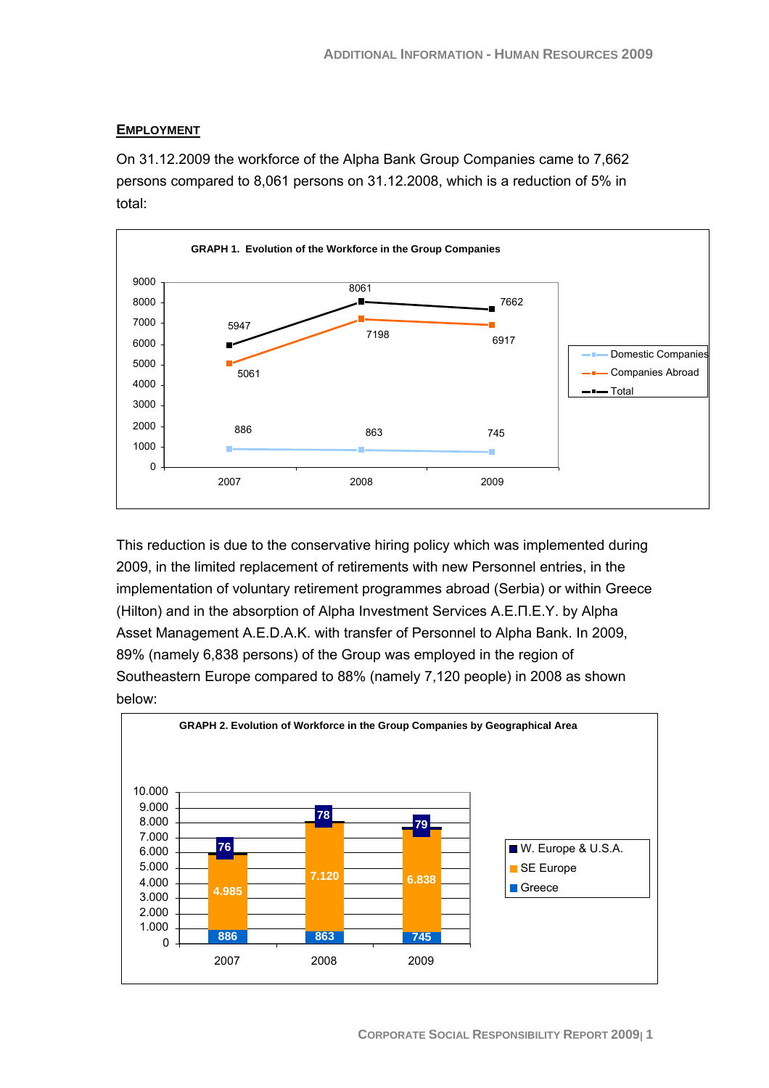# **EMPLOYMENT**

On 31.12.2009 the workforce of the Alpha Bank Group Companies came to 7,662 persons compared to 8,061 persons on 31.12.2008, which is a reduction of 5% in total:



This reduction is due to the conservative hiring policy which was implemented during 2009, in the limited replacement of retirements with new Personnel entries, in the implementation of voluntary retirement programmes abroad (Serbia) or within Greece (Hilton) and in the absorption of Alpha Investment Services Α.Ε.Π.Ε.Υ. by Alpha Asset Management A.E.D.A.K. with transfer of Personnel to Alpha Bank. In 2009, 89% (namely 6,838 persons) of the Group was employed in the region of Southeastern Europe compared to 88% (namely 7,120 people) in 2008 as shown below:

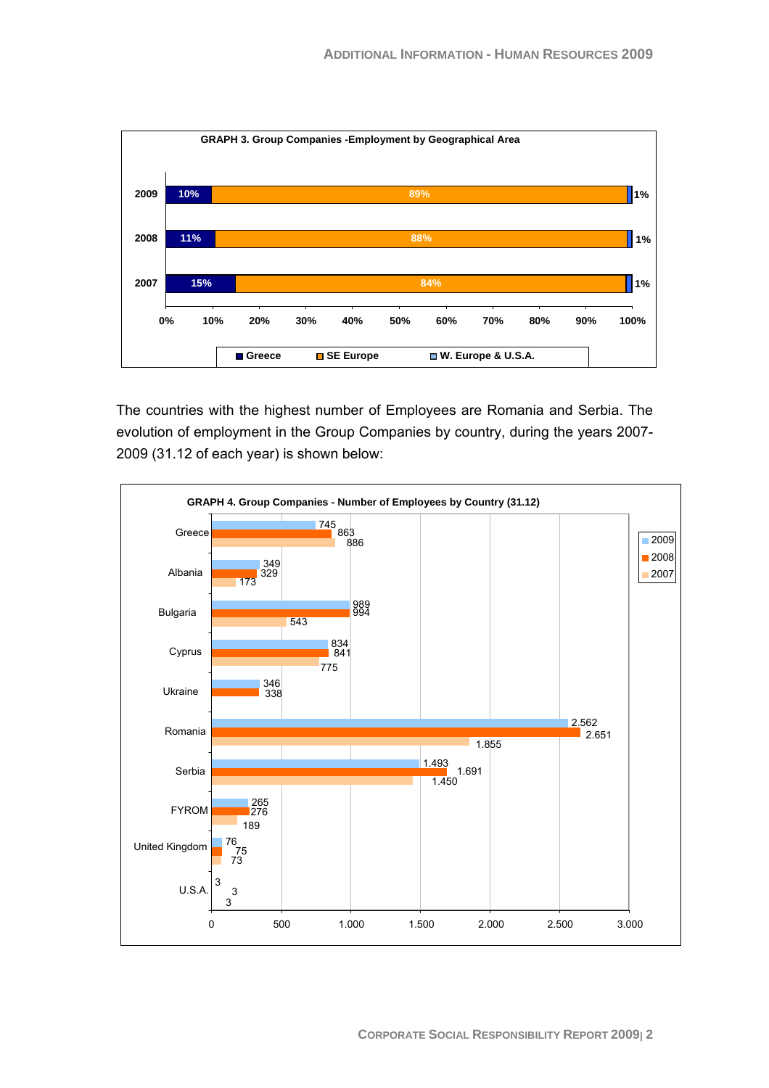

The countries with the highest number of Employees are Romania and Serbia. The evolution of employment in the Group Companies by country, during the years 2007- 2009 (31.12 of each year) is shown below:

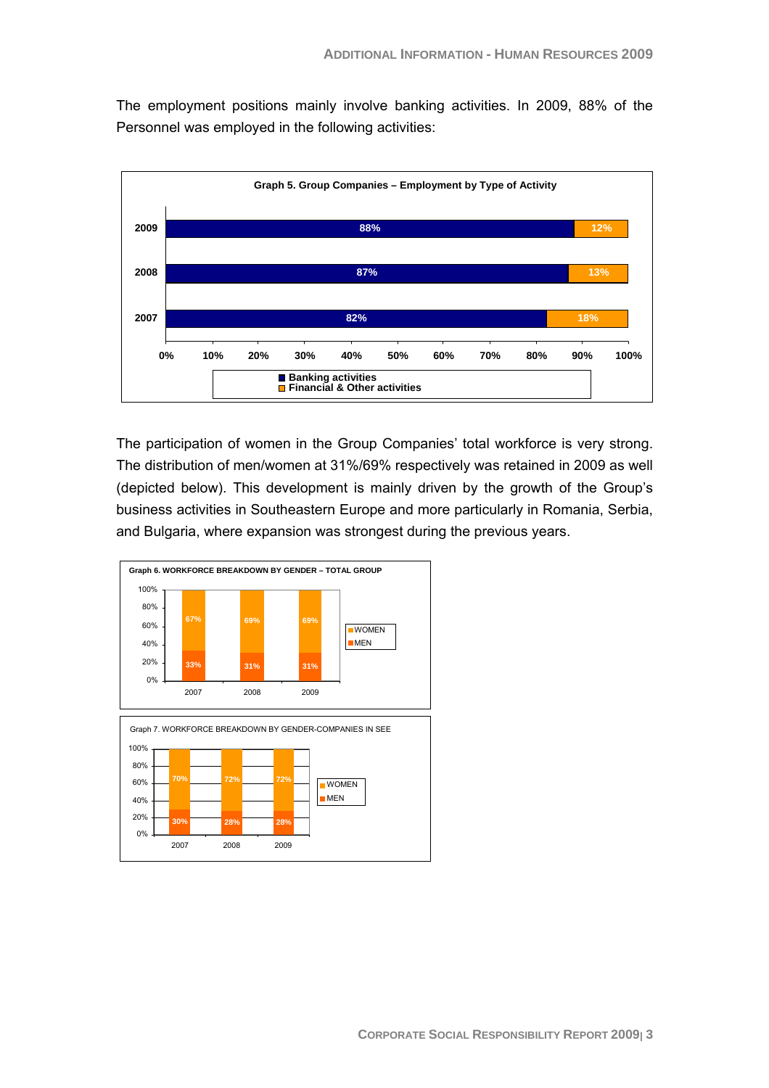The employment positions mainly involve banking activities. In 2009, 88% of the Personnel was employed in the following activities:



The participation of women in the Group Companies' total workforce is very strong. The distribution of men/women at 31%/69% respectively was retained in 2009 as well (depicted below). This development is mainly driven by the growth of the Group's business activities in Southeastern Europe and more particularly in Romania, Serbia, and Bulgaria, where expansion was strongest during the previous years.

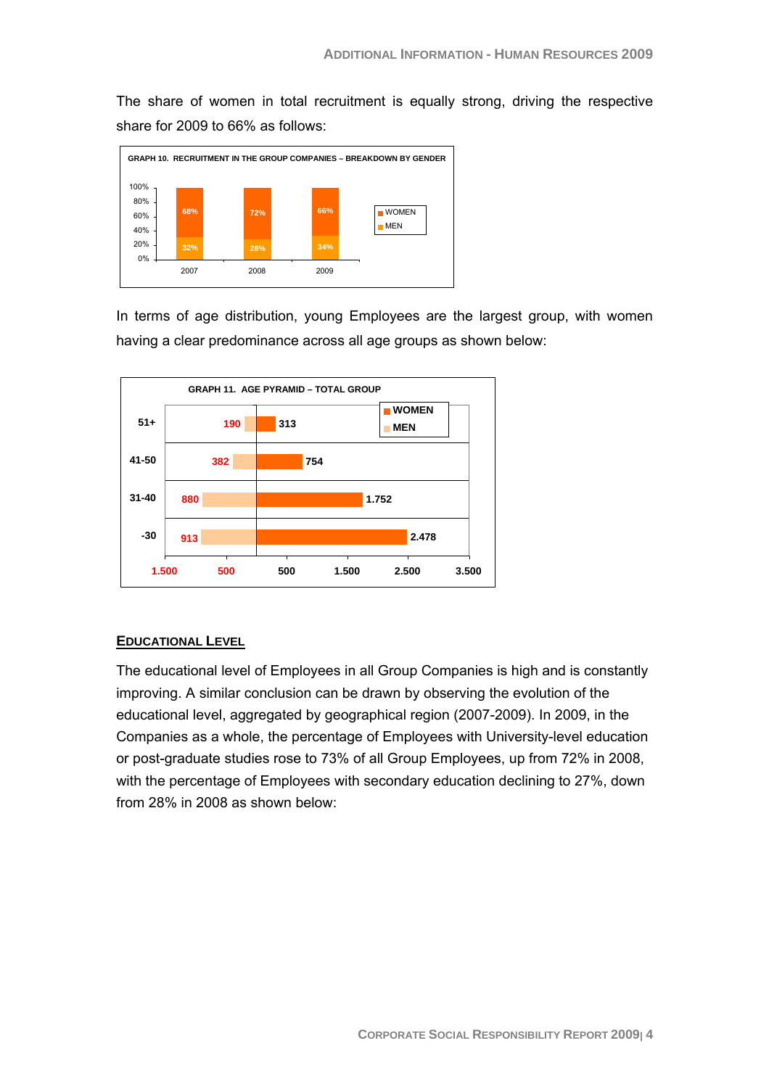The share of women in total recruitment is equally strong, driving the respective share for 2009 to 66% as follows:



In terms of age distribution, young Employees are the largest group, with women having a clear predominance across all age groups as shown below:



## **EDUCATIONAL LEVEL**

The educational level of Employees in all Group Companies is high and is constantly improving. A similar conclusion can be drawn by observing the evolution of the educational level, aggregated by geographical region (2007-2009). In 2009, in the Companies as a whole, the percentage of Employees with University-level education or post-graduate studies rose to 73% of all Group Employees, up from 72% in 2008, with the percentage of Employees with secondary education declining to 27%, down from 28% in 2008 as shown below: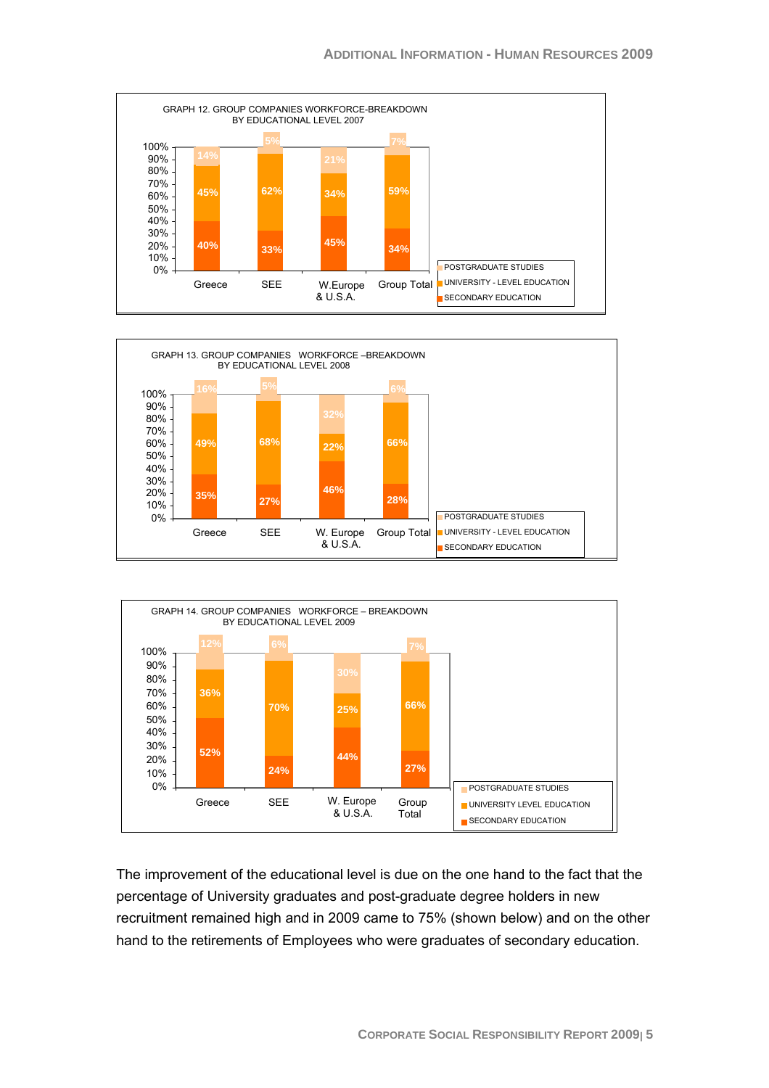





The improvement of the educational level is due on the one hand to the fact that the percentage of University graduates and post-graduate degree holders in new recruitment remained high and in 2009 came to 75% (shown below) and on the other hand to the retirements of Employees who were graduates of secondary education.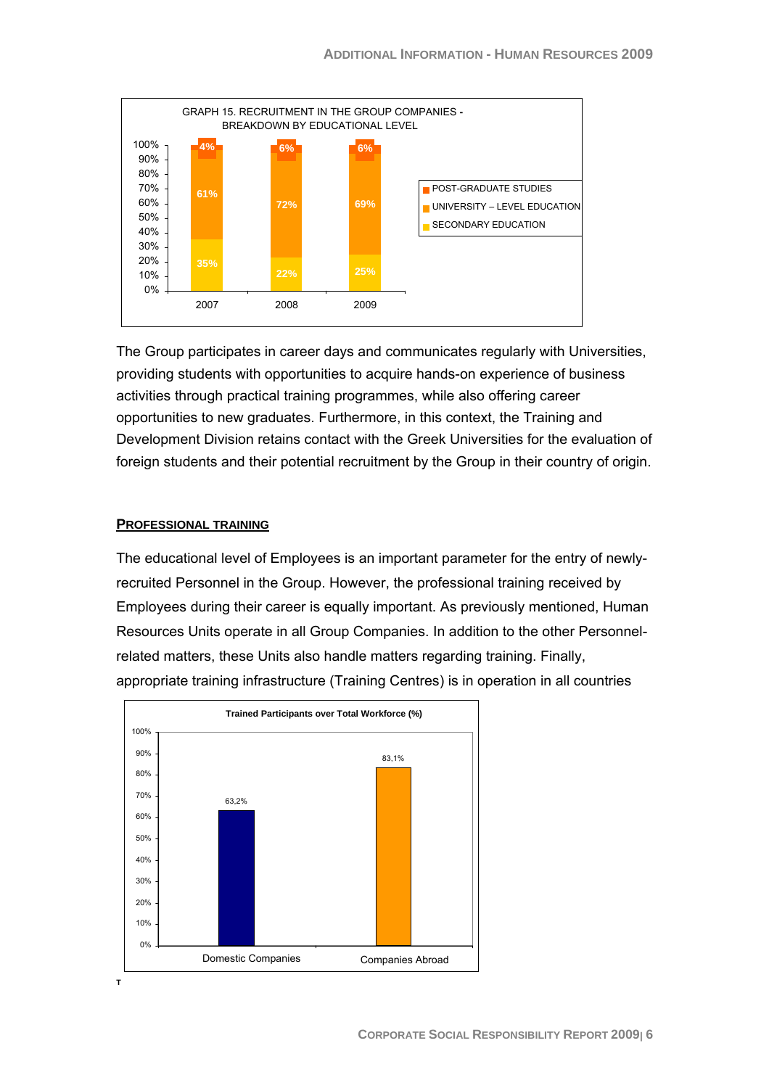

The Group participates in career days and communicates regularly with Universities, providing students with opportunities to acquire hands-on experience of business activities through practical training programmes, while also offering career opportunities to new graduates. Furthermore, in this context, the Training and Development Division retains contact with the Greek Universities for the evaluation of foreign students and their potential recruitment by the Group in their country of origin.

#### **PROFESSIONAL TRAINING**

The educational level of Employees is an important parameter for the entry of newlyrecruited Personnel in the Group. However, the professional training received by Employees during their career is equally important. As previously mentioned, Human Resources Units operate in all Group Companies. In addition to the other Personnelrelated matters, these Units also handle matters regarding training. Finally, appropriate training infrastructure (Training Centres) is in operation in all countries



**T**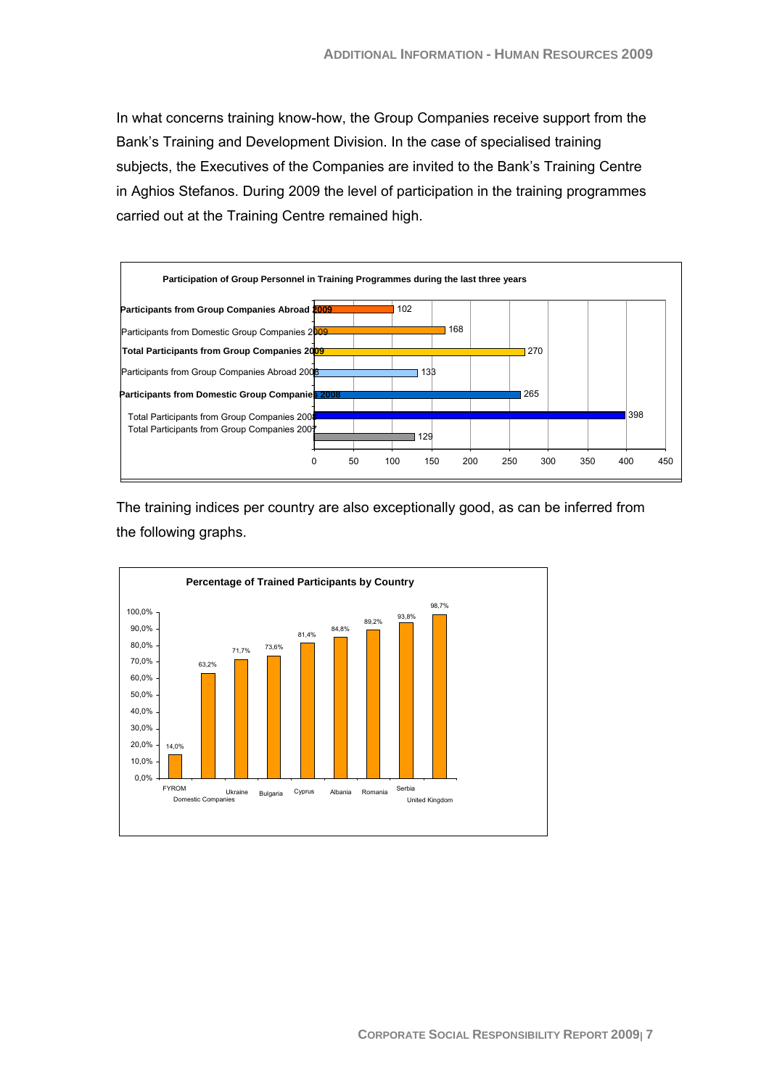In what concerns training know-how, the Group Companies receive support from the Bank's Training and Development Division. In the case of specialised training subjects, the Executives of the Companies are invited to the Bank's Training Centre in Aghios Stefanos. During 2009 the level of participation in the training programmes carried out at the Training Centre remained high.



The training indices per country are also exceptionally good, as can be inferred from the following graphs.

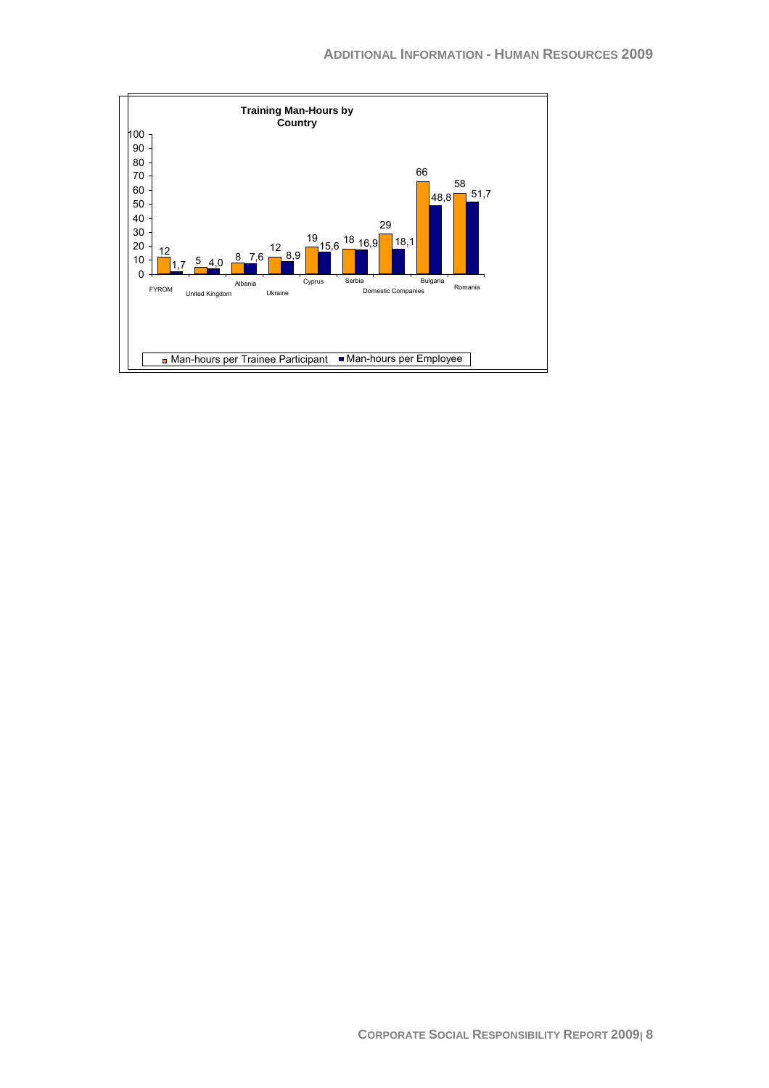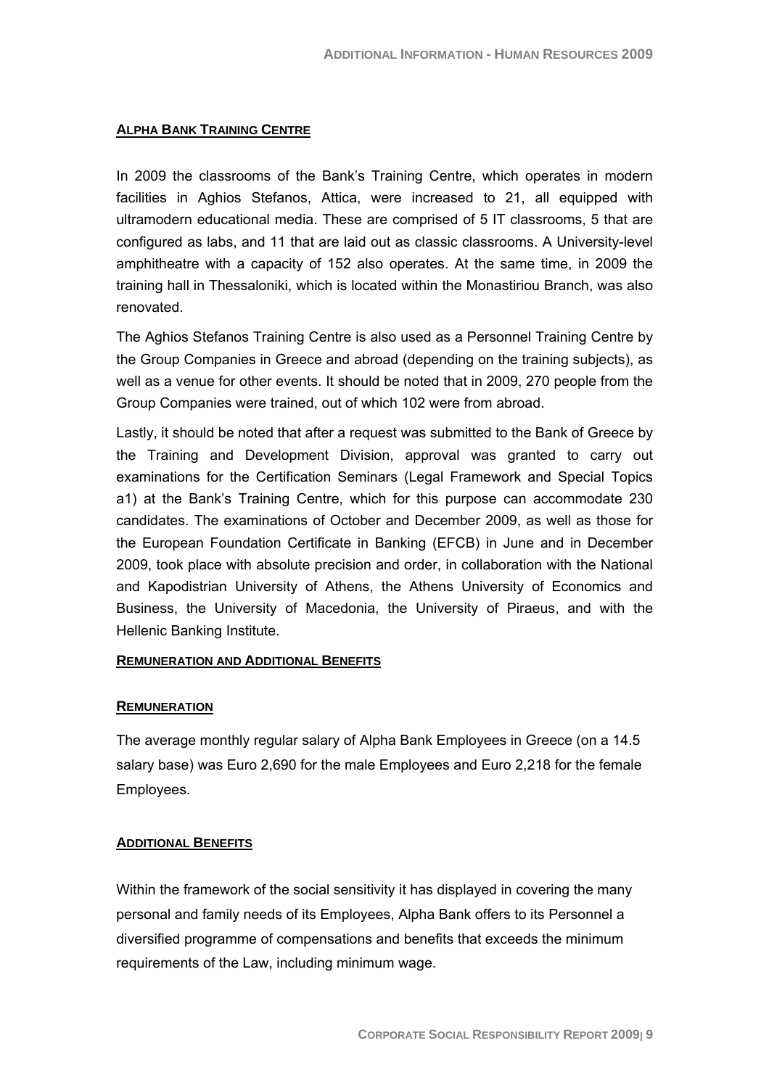#### **ALPHA BANK TRAINING CENTRE**

In 2009 the classrooms of the Bank's Training Centre, which operates in modern facilities in Aghios Stefanos, Attica, were increased to 21, all equipped with ultramodern educational media. These are comprised of 5 IT classrooms, 5 that are configured as labs, and 11 that are laid out as classic classrooms. A University-level amphitheatre with a capacity of 152 also operates. At the same time, in 2009 the training hall in Thessaloniki, which is located within the Monastiriou Branch, was also renovated.

The Aghios Stefanos Training Centre is also used as a Personnel Training Centre by the Group Companies in Greece and abroad (depending on the training subjects), as well as a venue for other events. It should be noted that in 2009, 270 people from the Group Companies were trained, out of which 102 were from abroad.

Lastly, it should be noted that after a request was submitted to the Bank of Greece by the Training and Development Division, approval was granted to carry out examinations for the Certification Seminars (Legal Framework and Special Topics a1) at the Bank's Training Centre, which for this purpose can accommodate 230 candidates. The examinations of October and December 2009, as well as those for the European Foundation Certificate in Banking (EFCB) in June and in December 2009, took place with absolute precision and order, in collaboration with the National and Kapodistrian University of Athens, the Athens University of Economics and Business, the University of Macedonia, the University of Piraeus, and with the Hellenic Banking Institute.

#### **REMUNERATION AND ADDITIONAL BENEFITS**

#### **REMUNERATION**

The average monthly regular salary of Alpha Bank Employees in Greece (on a 14.5 salary base) was Euro 2,690 for the male Employees and Euro 2,218 for the female Employees.

#### **ADDITIONAL BENEFITS**

Within the framework of the social sensitivity it has displayed in covering the many personal and family needs of its Employees, Alpha Bank offers to its Personnel a diversified programme of compensations and benefits that exceeds the minimum requirements of the Law, including minimum wage.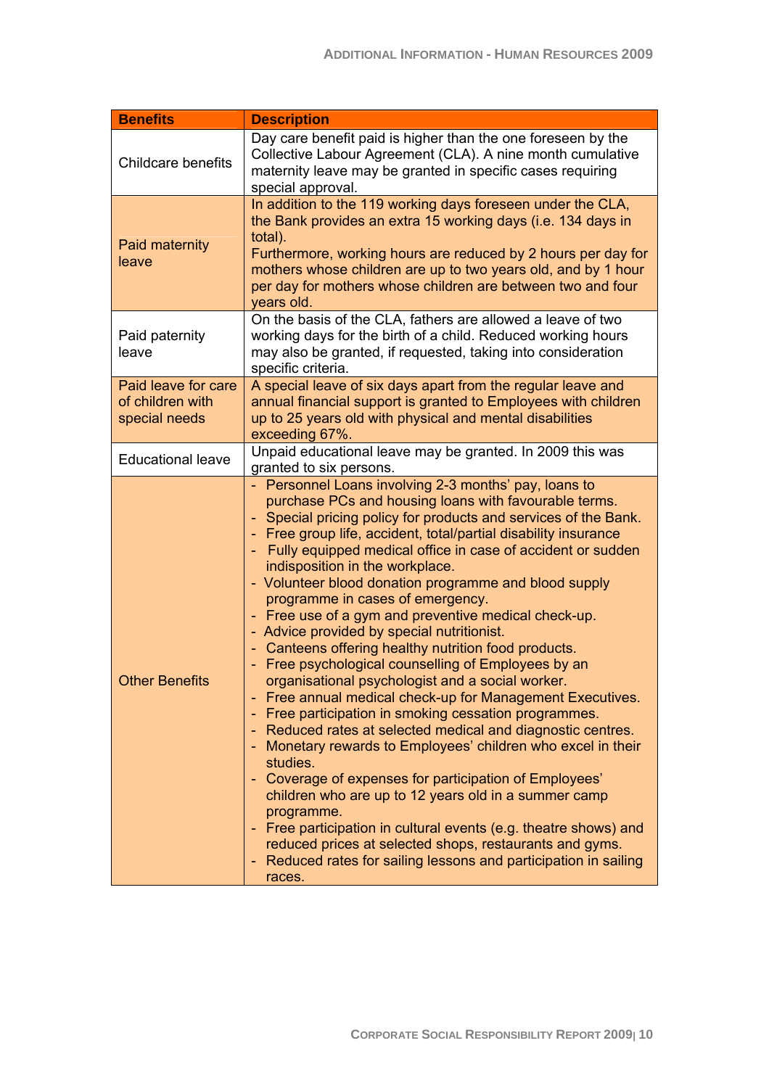| <b>Benefits</b>                                          | <b>Description</b>                                                                                                                                                                                                                                                                                                                                                                                                                                                                                                                                                                                                                                                                                                                                                                                                                                                                                                                                                                                                                                                                                                                                                                                                                                                                                                                                     |
|----------------------------------------------------------|--------------------------------------------------------------------------------------------------------------------------------------------------------------------------------------------------------------------------------------------------------------------------------------------------------------------------------------------------------------------------------------------------------------------------------------------------------------------------------------------------------------------------------------------------------------------------------------------------------------------------------------------------------------------------------------------------------------------------------------------------------------------------------------------------------------------------------------------------------------------------------------------------------------------------------------------------------------------------------------------------------------------------------------------------------------------------------------------------------------------------------------------------------------------------------------------------------------------------------------------------------------------------------------------------------------------------------------------------------|
| Childcare benefits                                       | Day care benefit paid is higher than the one foreseen by the<br>Collective Labour Agreement (CLA). A nine month cumulative<br>maternity leave may be granted in specific cases requiring<br>special approval.                                                                                                                                                                                                                                                                                                                                                                                                                                                                                                                                                                                                                                                                                                                                                                                                                                                                                                                                                                                                                                                                                                                                          |
| Paid maternity<br>leave                                  | In addition to the 119 working days foreseen under the CLA,<br>the Bank provides an extra 15 working days (i.e. 134 days in<br>total).<br>Furthermore, working hours are reduced by 2 hours per day for<br>mothers whose children are up to two years old, and by 1 hour<br>per day for mothers whose children are between two and four<br>years old.                                                                                                                                                                                                                                                                                                                                                                                                                                                                                                                                                                                                                                                                                                                                                                                                                                                                                                                                                                                                  |
| Paid paternity<br>leave                                  | On the basis of the CLA, fathers are allowed a leave of two<br>working days for the birth of a child. Reduced working hours<br>may also be granted, if requested, taking into consideration<br>specific criteria.                                                                                                                                                                                                                                                                                                                                                                                                                                                                                                                                                                                                                                                                                                                                                                                                                                                                                                                                                                                                                                                                                                                                      |
| Paid leave for care<br>of children with<br>special needs | A special leave of six days apart from the regular leave and<br>annual financial support is granted to Employees with children<br>up to 25 years old with physical and mental disabilities<br>exceeding 67%.                                                                                                                                                                                                                                                                                                                                                                                                                                                                                                                                                                                                                                                                                                                                                                                                                                                                                                                                                                                                                                                                                                                                           |
| <b>Educational leave</b>                                 | Unpaid educational leave may be granted. In 2009 this was<br>granted to six persons.                                                                                                                                                                                                                                                                                                                                                                                                                                                                                                                                                                                                                                                                                                                                                                                                                                                                                                                                                                                                                                                                                                                                                                                                                                                                   |
| <b>Other Benefits</b>                                    | - Personnel Loans involving 2-3 months' pay, loans to<br>purchase PCs and housing loans with favourable terms.<br>Special pricing policy for products and services of the Bank.<br>Free group life, accident, total/partial disability insurance<br>Fully equipped medical office in case of accident or sudden<br>indisposition in the workplace.<br>- Volunteer blood donation programme and blood supply<br>programme in cases of emergency.<br>Free use of a gym and preventive medical check-up.<br>÷,<br>- Advice provided by special nutritionist.<br>Canteens offering healthy nutrition food products.<br>÷<br>Free psychological counselling of Employees by an<br>organisational psychologist and a social worker.<br>Free annual medical check-up for Management Executives.<br>Free participation in smoking cessation programmes.<br>۰<br>Reduced rates at selected medical and diagnostic centres.<br>۰<br>Monetary rewards to Employees' children who excel in their<br>٠<br>studies.<br>Coverage of expenses for participation of Employees'<br>٠<br>children who are up to 12 years old in a summer camp<br>programme.<br>Free participation in cultural events (e.g. theatre shows) and<br>reduced prices at selected shops, restaurants and gyms.<br>Reduced rates for sailing lessons and participation in sailing<br>۰<br>races. |